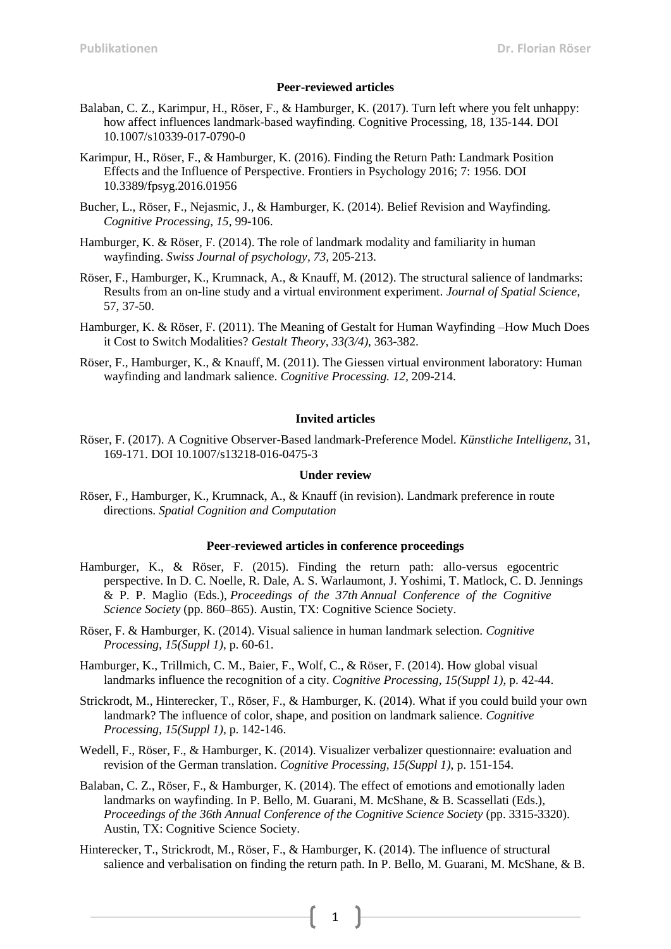### **Peer-reviewed articles**

- Balaban, C. Z., Karimpur, H., Röser, F., & Hamburger, K. (2017). Turn left where you felt unhappy: how affect influences landmark-based wayfinding. Cognitive Processing, 18, 135-144. DOI 10.1007/s10339-017-0790-0
- Karimpur, H., Röser, F., & Hamburger, K. (2016). Finding the Return Path: Landmark Position Effects and the Influence of Perspective. Frontiers in Psychology 2016; 7: 1956. DOI 10.3389/fpsyg.2016.01956
- Bucher, L., Röser, F., Nejasmic, J., & Hamburger, K. (2014). Belief Revision and Wayfinding. *Cognitive Processing, 15*, 99-106.
- Hamburger, K. & Röser, F. (2014). The role of landmark modality and familiarity in human wayfinding. *Swiss Journal of psychology, 73,* 205-213.
- Röser, F., Hamburger, K., Krumnack, A., & Knauff, M. (2012). The structural salience of landmarks: Results from an on-line study and a virtual environment experiment. *Journal of Spatial Science,* 57, 37-50.
- Hamburger, K. & Röser, F. (2011). The Meaning of Gestalt for Human Wayfinding –How Much Does it Cost to Switch Modalities? *Gestalt Theory, 33(3/4),* 363-382.
- Röser, F., Hamburger, K., & Knauff, M. (2011). The Giessen virtual environment laboratory: Human wayfinding and landmark salience. *Cognitive Processing. 12,* 209-214.

## **Invited articles**

Röser, F. (2017). A Cognitive Observer-Based landmark-Preference Model*. Künstliche Intelligenz,* 31, 169-171. DOI 10.1007/s13218-016-0475-3

# **Under review**

Röser, F., Hamburger, K., Krumnack, A., & Knauff (in revision). Landmark preference in route directions. *Spatial Cognition and Computation*

#### **Peer-reviewed articles in conference proceedings**

- Hamburger, K., & Röser, F. (2015). Finding the return path: allo-versus egocentric perspective. In D. C. Noelle, R. Dale, A. S. Warlaumont, J. Yoshimi, T. Matlock, C. D. Jennings & P. P. Maglio (Eds.), *Proceedings of the 37th Annual Conference of the Cognitive Science Society* (pp. 860–865). Austin, TX: Cognitive Science Society.
- Röser, F. & Hamburger, K. (2014). Visual salience in human landmark selection. *Cognitive Processing, 15(Suppl 1)*, p. 60-61.
- Hamburger, K., Trillmich, C. M., Baier, F., Wolf, C., & Röser, F. (2014). How global visual landmarks influence the recognition of a city. *Cognitive Processing, 15(Suppl 1)*, p. 42-44.
- Strickrodt, M., Hinterecker, T., Röser, F., & Hamburger, K. (2014). What if you could build your own landmark? The influence of color, shape, and position on landmark salience. *Cognitive Processing, 15(Suppl 1)*, p. 142-146.
- Wedell, F., Röser, F., & Hamburger, K. (2014). Visualizer verbalizer questionnaire: evaluation and revision of the German translation. *Cognitive Processing, 15(Suppl 1)*, p. 151-154.
- Balaban, C. Z., Röser, F., & Hamburger, K. (2014). The effect of emotions and emotionally laden landmarks on wayfinding. In P. Bello, M. Guarani, M. McShane, & B. Scassellati (Eds.), *Proceedings of the 36th Annual Conference of the Cognitive Science Society* (pp. 3315-3320). Austin, TX: Cognitive Science Society.
- Hinterecker, T., Strickrodt, M., Röser, F., & Hamburger, K. (2014). The influence of structural salience and verbalisation on finding the return path. In P. Bello, M. Guarani, M. McShane, & B.

1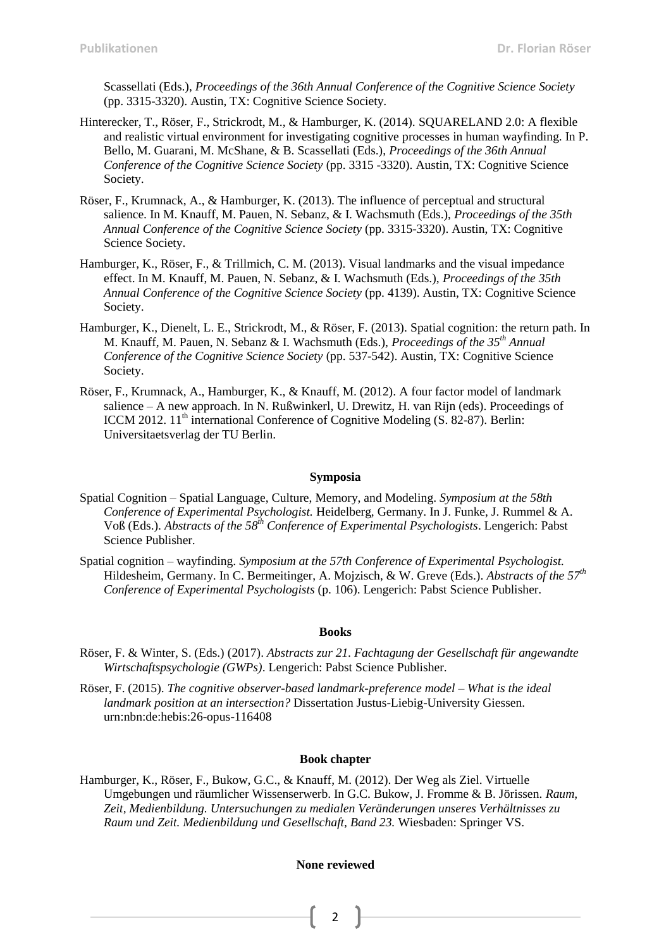Scassellati (Eds.), *Proceedings of the 36th Annual Conference of the Cognitive Science Society* (pp. 3315-3320). Austin, TX: Cognitive Science Society.

- Hinterecker, T., Röser, F., Strickrodt, M., & Hamburger, K. (2014). SQUARELAND 2.0: A flexible and realistic virtual environment for investigating cognitive processes in human wayfinding. In P. Bello, M. Guarani, M. McShane, & B. Scassellati (Eds.), *Proceedings of the 36th Annual Conference of the Cognitive Science Society* (pp. 3315 -3320). Austin, TX: Cognitive Science Society.
- Röser, F., Krumnack, A., & Hamburger, K. (2013). The influence of perceptual and structural salience. In M. Knauff, M. Pauen, N. Sebanz, & I. Wachsmuth (Eds.), *Proceedings of the 35th Annual Conference of the Cognitive Science Society* (pp. 3315-3320). Austin, TX: Cognitive Science Society.
- Hamburger, K., Röser, F., & Trillmich, C. M. (2013). Visual landmarks and the visual impedance effect. In M. Knauff, M. Pauen, N. Sebanz, & I. Wachsmuth (Eds.), *Proceedings of the 35th Annual Conference of the Cognitive Science Society* (pp. 4139). Austin, TX: Cognitive Science Society.
- Hamburger, K., Dienelt, L. E., Strickrodt, M., & Röser, F. (2013). Spatial cognition: the return path. In M. Knauff, M. Pauen, N. Sebanz & I. Wachsmuth (Eds.), *Proceedings of the 35th Annual Conference of the Cognitive Science Society* (pp. 537-542). Austin, TX: Cognitive Science Society.
- Röser, F., Krumnack, A., Hamburger, K., & Knauff, M. (2012). A four factor model of landmark salience – A new approach. In N. Rußwinkerl, U. Drewitz, H. van Rijn (eds). Proceedings of ICCM 2012. 11<sup>th</sup> international Conference of Cognitive Modeling (S. 82-87). Berlin: Universitaetsverlag der TU Berlin.

#### **Symposia**

- Spatial Cognition Spatial Language, Culture, Memory, and Modeling. *Symposium at the 58th Conference of Experimental Psychologist.* Heidelberg, Germany. In J. Funke, J. Rummel & A. Voß (Eds.). *Abstracts of the 58<sup>th</sup> Conference of Experimental Psychologists*. Lengerich: Pabst Science Publisher.
- Spatial cognition wayfinding. *Symposium at the 57th Conference of Experimental Psychologist.* Hildesheim, Germany. In C. Bermeitinger, A. Mojzisch, & W. Greve (Eds.). *Abstracts of the 57th Conference of Experimental Psychologists* (p. 106). Lengerich: Pabst Science Publisher.

#### **Books**

- Röser, F. & Winter, S. (Eds.) (2017). *Abstracts zur 21. Fachtagung der Gesellschaft für angewandte Wirtschaftspsychologie (GWPs)*. Lengerich: Pabst Science Publisher.
- Röser, F. (2015). *The cognitive observer-based landmark-preference model – What is the ideal landmark position at an intersection?* Dissertation Justus-Liebig-University Giessen. urn:nbn:de:hebis:26-opus-116408

### **Book chapter**

Hamburger, K., Röser, F., Bukow, G.C., & Knauff, M. (2012). Der Weg als Ziel. Virtuelle Umgebungen und räumlicher Wissenserwerb. In G.C. Bukow, J. Fromme & B. Jörissen. *Raum, Zeit, Medienbildung. Untersuchungen zu medialen Veränderungen unseres Verhältnisses zu Raum und Zeit. Medienbildung und Gesellschaft, Band 23.* Wiesbaden: Springer VS.

### **None reviewed**

2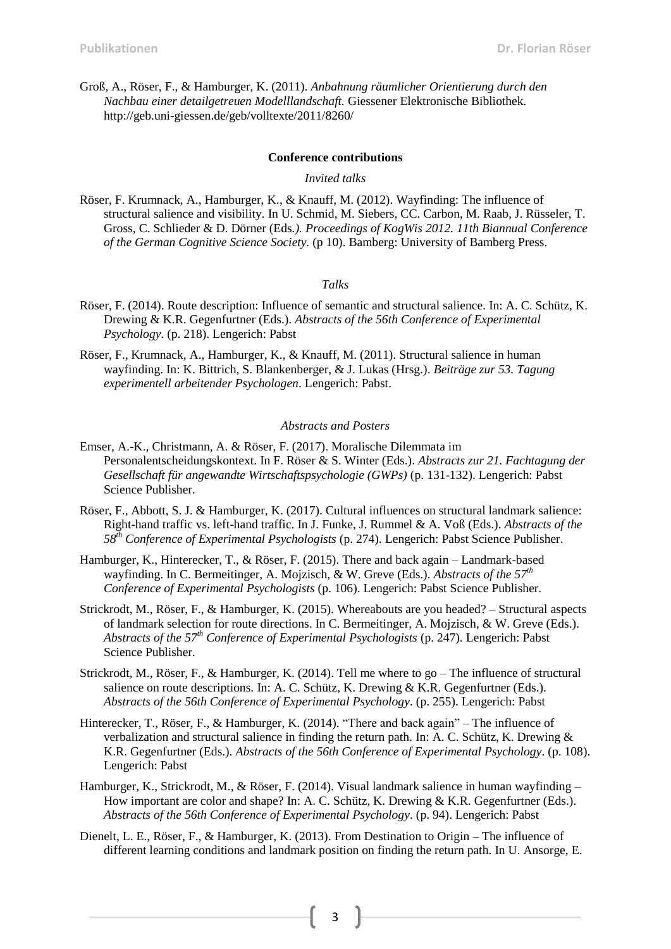Groß, A., Röser, F., & Hamburger, K. (2011). *Anbahnung räumlicher Orientierung durch den Nachbau einer detailgetreuen Modelllandschaft.* Giessener Elektronische Bibliothek. http://geb.uni-giessen.de/geb/volltexte/2011/8260/

#### **Conference contributions**

### *Invited talks*

Röser, F. Krumnack, A., Hamburger, K., & Knauff, M. (2012). Wayfinding: The influence of structural salience and visibility. In U. Schmid, M. Siebers, CC. Carbon, M. Raab, J. Rüsseler, T. Gross, C. Schlieder & D. Dörner (Eds*.). Proceedings of KogWis 2012. 11th Biannual Conference of the German Cognitive Science Society.* (p 10). Bamberg: University of Bamberg Press.

### *Talks*

- Röser, F. (2014). Route description: Influence of semantic and structural salience. In: A. C. Schütz, K. Drewing & K.R. Gegenfurtner (Eds.). *Abstracts of the 56th Conference of Experimental Psychology*. (p. 218). Lengerich: Pabst
- Röser, F., Krumnack, A., Hamburger, K., & Knauff, M. (2011). Structural salience in human wayfinding. In: K. Bittrich, S. Blankenberger, & J. Lukas (Hrsg.). *Beiträge zur 53. Tagung experimentell arbeitender Psychologen*. Lengerich: Pabst.

### *Abstracts and Posters*

- Emser, A.-K., Christmann, A. & Röser, F. (2017). Moralische Dilemmata im Personalentscheidungskontext. In F. Röser & S. Winter (Eds.). *Abstracts zur 21. Fachtagung der Gesellschaft für angewandte Wirtschaftspsychologie (GWPs)* (p. 131-132). Lengerich: Pabst Science Publisher.
- Röser, F., Abbott, S. J. & Hamburger, K. (2017). Cultural influences on structural landmark salience: Right-hand traffic vs. left-hand traffic. In J. Funke, J. Rummel & A. Voß (Eds.). *Abstracts of the 58 th Conference of Experimental Psychologists* (p. 274). Lengerich: Pabst Science Publisher.
- Hamburger, K., Hinterecker, T., & Röser, F. (2015). There and back again Landmark-based wayfinding. In C. Bermeitinger, A. Mojzisch, & W. Greve (Eds.). *Abstracts of the 57th Conference of Experimental Psychologists* (p. 106). Lengerich: Pabst Science Publisher.
- Strickrodt, M., Röser, F., & Hamburger, K. (2015). Whereabouts are you headed? Structural aspects of landmark selection for route directions. In C. Bermeitinger, A. Mojzisch, & W. Greve (Eds.). *Abstracts of the 57th Conference of Experimental Psychologists* (p. 247). Lengerich: Pabst Science Publisher.
- Strickrodt, M., Röser, F., & Hamburger, K. (2014). Tell me where to go The influence of structural salience on route descriptions. In: A. C. Schütz, K. Drewing & K.R. Gegenfurtner (Eds.). *Abstracts of the 56th Conference of Experimental Psychology*. (p. 255). Lengerich: Pabst
- Hinterecker, T., Röser, F., & Hamburger, K. (2014). "There and back again" The influence of verbalization and structural salience in finding the return path. In: A. C. Schütz, K. Drewing & K.R. Gegenfurtner (Eds.). *Abstracts of the 56th Conference of Experimental Psychology*. (p. 108). Lengerich: Pabst
- Hamburger, K., Strickrodt, M., & Röser, F. (2014). Visual landmark salience in human wayfinding How important are color and shape? In: A. C. Schütz, K. Drewing & K.R. Gegenfurtner (Eds.). *Abstracts of the 56th Conference of Experimental Psychology*. (p. 94). Lengerich: Pabst
- Dienelt, L. E., Röser, F., & Hamburger, K. (2013). From Destination to Origin The influence of different learning conditions and landmark position on finding the return path. In U. Ansorge, E.

3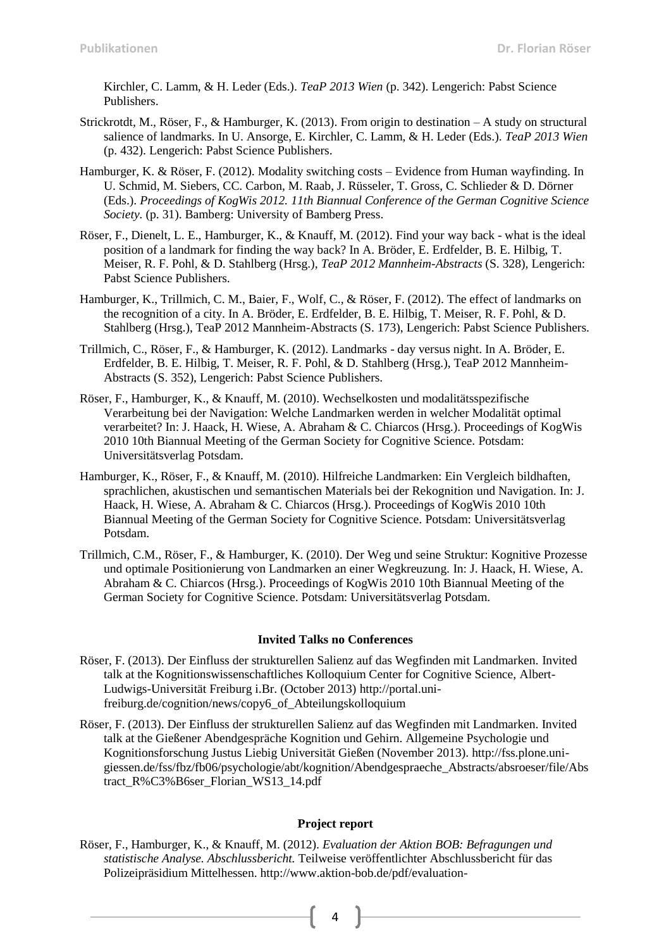Kirchler, C. Lamm, & H. Leder (Eds.). *TeaP 2013 Wien* (p. 342). Lengerich: Pabst Science Publishers.

- Strickrotdt, M., Röser, F., & Hamburger, K. (2013). From origin to destination A study on structural salience of landmarks. In U. Ansorge, E. Kirchler, C. Lamm, & H. Leder (Eds.). *TeaP 2013 Wien* (p. 432). Lengerich: Pabst Science Publishers.
- Hamburger, K. & Röser, F. (2012). Modality switching costs Evidence from Human wayfinding. In U. Schmid, M. Siebers, CC. Carbon, M. Raab, J. Rüsseler, T. Gross, C. Schlieder & D. Dörner (Eds.). *Proceedings of KogWis 2012. 11th Biannual Conference of the German Cognitive Science Society.* (p. 31). Bamberg: University of Bamberg Press.
- Röser, F., Dienelt, L. E., Hamburger, K., & Knauff, M. (2012). Find your way back what is the ideal position of a landmark for finding the way back? In A. Bröder, E. Erdfelder, B. E. Hilbig, T. Meiser, R. F. Pohl, & D. Stahlberg (Hrsg.), *TeaP 2012 Mannheim-Abstracts* (S. 328), Lengerich: Pabst Science Publishers.
- Hamburger, K., Trillmich, C. M., Baier, F., Wolf, C., & Röser, F. (2012). The effect of landmarks on the recognition of a city. In A. Bröder, E. Erdfelder, B. E. Hilbig, T. Meiser, R. F. Pohl, & D. Stahlberg (Hrsg.), TeaP 2012 Mannheim-Abstracts (S. 173), Lengerich: Pabst Science Publishers.
- Trillmich, C., Röser, F., & Hamburger, K. (2012). Landmarks day versus night. In A. Bröder, E. Erdfelder, B. E. Hilbig, T. Meiser, R. F. Pohl, & D. Stahlberg (Hrsg.), TeaP 2012 Mannheim-Abstracts (S. 352), Lengerich: Pabst Science Publishers.
- Röser, F., Hamburger, K., & Knauff, M. (2010). Wechselkosten und modalitätsspezifische Verarbeitung bei der Navigation: Welche Landmarken werden in welcher Modalität optimal verarbeitet? In: J. Haack, H. Wiese, A. Abraham & C. Chiarcos (Hrsg.). Proceedings of KogWis 2010 10th Biannual Meeting of the German Society for Cognitive Science. Potsdam: Universitätsverlag Potsdam.
- Hamburger, K., Röser, F., & Knauff, M. (2010). Hilfreiche Landmarken: Ein Vergleich bildhaften, sprachlichen, akustischen und semantischen Materials bei der Rekognition und Navigation. In: J. Haack, H. Wiese, A. Abraham & C. Chiarcos (Hrsg.). Proceedings of KogWis 2010 10th Biannual Meeting of the German Society for Cognitive Science. Potsdam: Universitätsverlag Potsdam.
- Trillmich, C.M., Röser, F., & Hamburger, K. (2010). Der Weg und seine Struktur: Kognitive Prozesse und optimale Positionierung von Landmarken an einer Wegkreuzung. In: J. Haack, H. Wiese, A. Abraham & C. Chiarcos (Hrsg.). Proceedings of KogWis 2010 10th Biannual Meeting of the German Society for Cognitive Science. Potsdam: Universitätsverlag Potsdam.

### **Invited Talks no Conferences**

- Röser, F. (2013). Der Einfluss der strukturellen Salienz auf das Wegfinden mit Landmarken. Invited talk at the Kognitionswissenschaftliches Kolloquium Center for Cognitive Science, Albert-Ludwigs-Universität Freiburg i.Br. (October 2013) http://portal.unifreiburg.de/cognition/news/copy6\_of\_Abteilungskolloquium
- Röser, F. (2013). Der Einfluss der strukturellen Salienz auf das Wegfinden mit Landmarken. Invited talk at the Gießener Abendgespräche Kognition und Gehirn. Allgemeine Psychologie und Kognitionsforschung Justus Liebig Universität Gießen (November 2013). http://fss.plone.unigiessen.de/fss/fbz/fb06/psychologie/abt/kognition/Abendgespraeche\_Abstracts/absroeser/file/Abs tract\_R%C3%B6ser\_Florian\_WS13\_14.pdf

## **Project report**

4

Röser, F., Hamburger, K., & Knauff, M. (2012). *Evaluation der Aktion BOB: Befragungen und statistische Analyse. Abschlussbericht.* Teilweise veröffentlichter Abschlussbericht für das Polizeipräsidium Mittelhessen. http://www.aktion-bob.de/pdf/evaluation